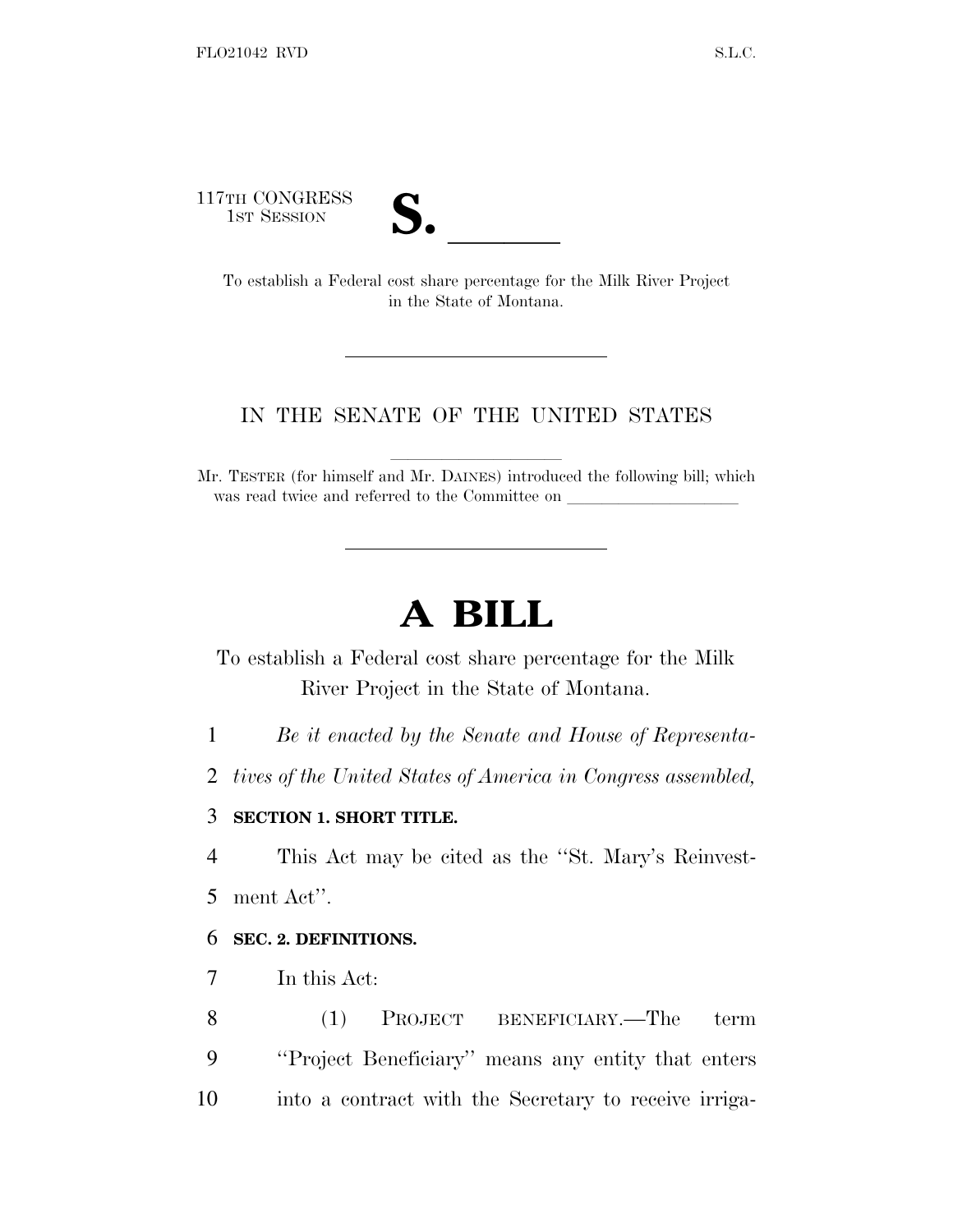117TH CONGRESS



TH CONGRESS<br>
1ST SESSION<br>
To establish a Federal cost share percentage for the Milk River Project in the State of Montana.

## IN THE SENATE OF THE UNITED STATES

Mr. TESTER (for himself and Mr. DAINES) introduced the following bill; which was read twice and referred to the Committee on

## **A BILL**

To establish a Federal cost share percentage for the Milk River Project in the State of Montana.

1 *Be it enacted by the Senate and House of Representa-*

2 *tives of the United States of America in Congress assembled,*

## 3 **SECTION 1. SHORT TITLE.**

4 This Act may be cited as the ''St. Mary's Reinvest-

5 ment Act''.

## 6 **SEC. 2. DEFINITIONS.**

7 In this Act:

8 (1) PROJECT BENEFICIARY.—The term 9 ''Project Beneficiary'' means any entity that enters 10 into a contract with the Secretary to receive irriga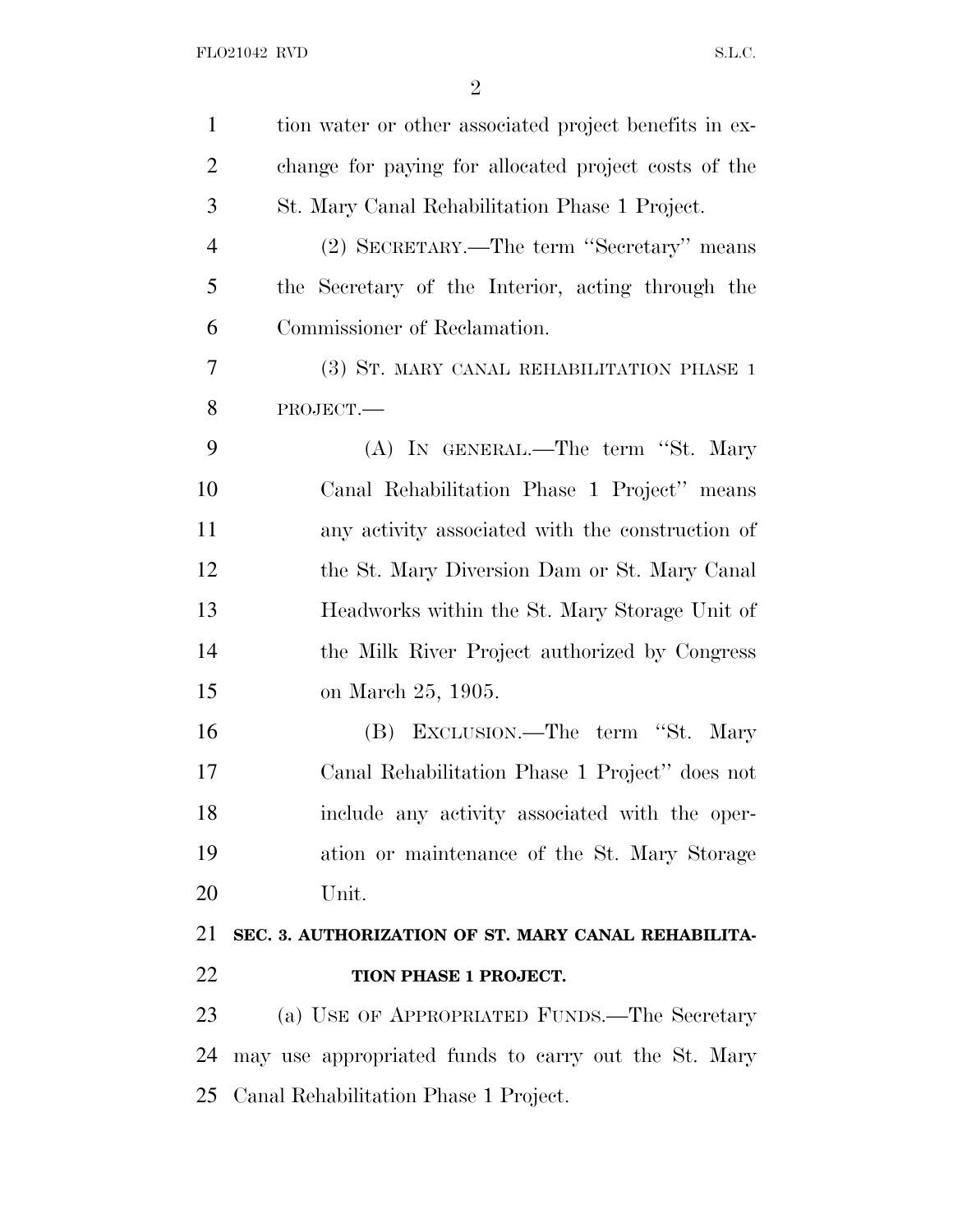| $\mathbf{1}$   | tion water or other associated project benefits in ex- |
|----------------|--------------------------------------------------------|
| $\overline{c}$ | change for paying for allocated project costs of the   |
| 3              | St. Mary Canal Rehabilitation Phase 1 Project.         |
| $\overline{4}$ | (2) SECRETARY.—The term "Secretary" means              |
| 5              | the Secretary of the Interior, acting through the      |
| 6              | Commissioner of Reclamation.                           |
| 7              | (3) ST. MARY CANAL REHABILITATION PHASE 1              |
| 8              | PROJECT.                                               |
| 9              | (A) IN GENERAL.—The term "St. Mary                     |
| 10             | Canal Rehabilitation Phase 1 Project" means            |
| 11             | any activity associated with the construction of       |
| 12             | the St. Mary Diversion Dam or St. Mary Canal           |
| 13             | Headworks within the St. Mary Storage Unit of          |
| 14             | the Milk River Project authorized by Congress          |
| 15             | on March 25, 1905.                                     |
| 16             | (B) EXCLUSION.—The term "St. Mary                      |
| 17             | Canal Rehabilitation Phase 1 Project" does not         |
| 18             | include any activity associated with the oper-         |
| 19             | ation or maintenance of the St. Mary Storage           |
| 20             | Unit.                                                  |
| 21             | SEC. 3. AUTHORIZATION OF ST. MARY CANAL REHABILITA-    |
| 22             | TION PHASE 1 PROJECT.                                  |
| 23             | (a) USE OF APPROPRIATED FUNDS.—The Secretary           |
| 24             | may use appropriated funds to carry out the St. Mary   |
|                | 25 Canal Rehabilitation Phase 1 Project.               |
|                |                                                        |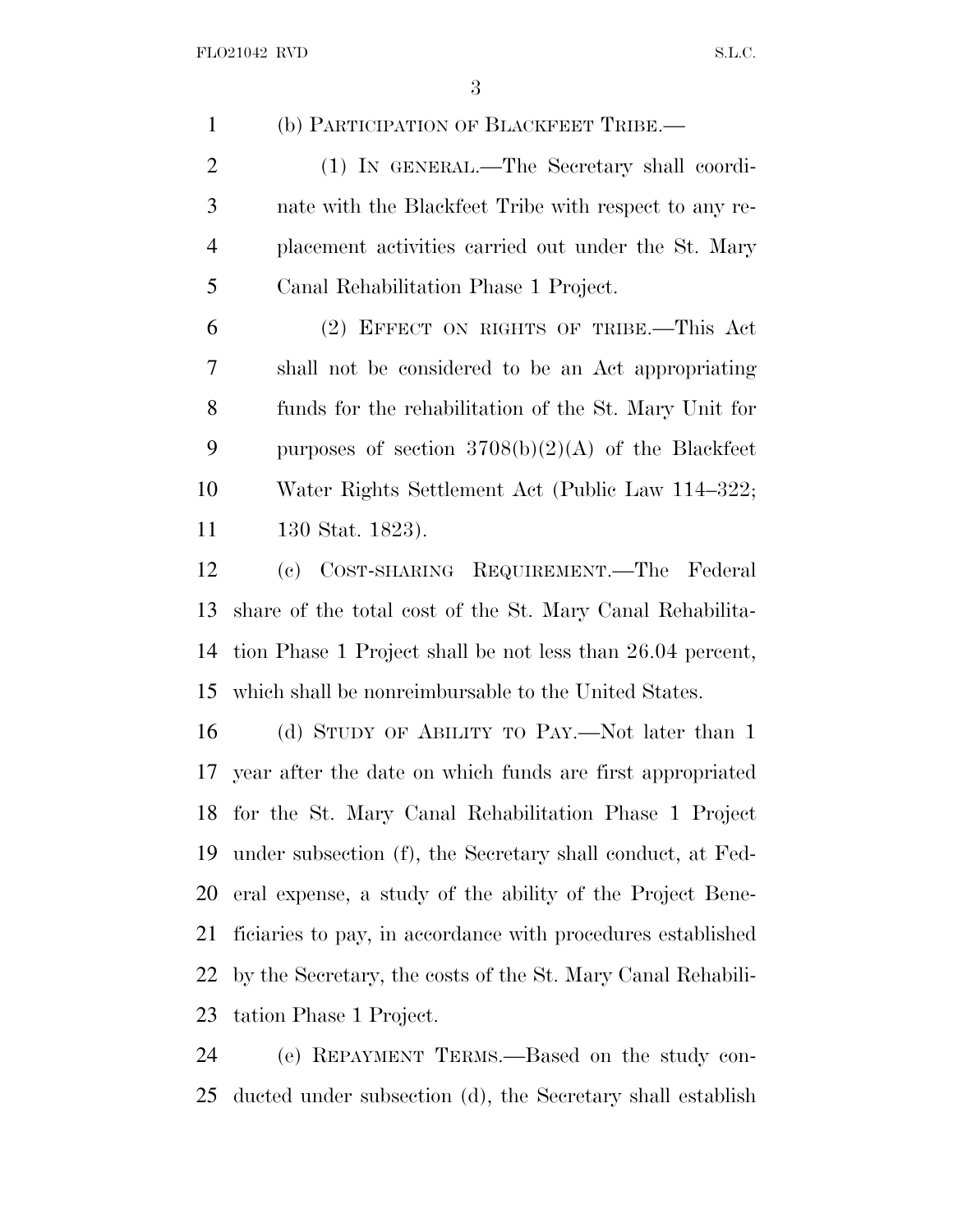(b) PARTICIPATION OF BLACKFEET TRIBE.—

 (1) IN GENERAL.—The Secretary shall coordi- nate with the Blackfeet Tribe with respect to any re- placement activities carried out under the St. Mary Canal Rehabilitation Phase 1 Project.

 (2) EFFECT ON RIGHTS OF TRIBE.—This Act shall not be considered to be an Act appropriating funds for the rehabilitation of the St. Mary Unit for 9 purposes of section  $3708(b)(2)(A)$  of the Blackfeet Water Rights Settlement Act (Public Law 114–322; 130 Stat. 1823).

 (c) COST-SHARING REQUIREMENT.—The Federal share of the total cost of the St. Mary Canal Rehabilita- tion Phase 1 Project shall be not less than 26.04 percent, which shall be nonreimbursable to the United States.

 (d) STUDY OF ABILITY TO PAY.—Not later than 1 year after the date on which funds are first appropriated for the St. Mary Canal Rehabilitation Phase 1 Project under subsection (f), the Secretary shall conduct, at Fed- eral expense, a study of the ability of the Project Bene- ficiaries to pay, in accordance with procedures established by the Secretary, the costs of the St. Mary Canal Rehabili-tation Phase 1 Project.

 (e) REPAYMENT TERMS.—Based on the study con-ducted under subsection (d), the Secretary shall establish